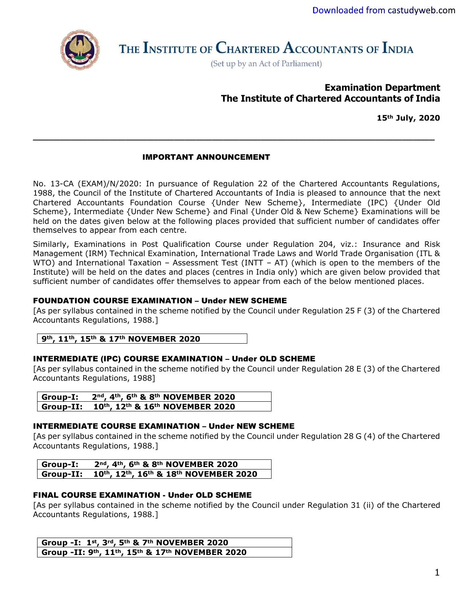

THE INSTITUTE OF CHARTERED ACCOUNTANTS OF INDIA

(Set up by an Act of Parliament)

# **Examination Department The Institute of Chartered Accountants of India**

**15th July, 2020**

### IMPORTANT ANNOUNCEMENT

No. 13-CA (EXAM)/N/2020: In pursuance of Regulation 22 of the Chartered Accountants Regulations, 1988, the Council of the Institute of Chartered Accountants of India is pleased to announce that the next Chartered Accountants Foundation Course {Under New Scheme}, Intermediate (IPC) {Under Old Scheme}, Intermediate {Under New Scheme} and Final {Under Old & New Scheme} Examinations will be held on the dates given below at the following places provided that sufficient number of candidates offer themselves to appear from each centre.

**\_\_\_\_\_\_\_\_\_\_\_\_\_\_\_\_\_\_\_\_\_\_\_\_\_\_\_\_\_\_\_\_\_\_\_\_\_\_\_\_\_\_\_\_\_\_\_\_\_\_\_\_\_\_\_\_\_\_\_\_\_\_\_\_\_\_\_\_\_\_\_\_\_\_**

Similarly, Examinations in Post Qualification Course under Regulation 204, viz.: Insurance and Risk Management (IRM) Technical Examination, International Trade Laws and World Trade Organisation (ITL & WTO) and International Taxation - Assessment Test (INTT - AT) (which is open to the members of the Institute) will be held on the dates and places (centres in India only) which are given below provided that sufficient number of candidates offer themselves to appear from each of the below mentioned places.

## FOUNDATION COURSE EXAMINATION – Under NEW SCHEME

[As per syllabus contained in the scheme notified by the Council under Regulation 25 F (3) of the Chartered Accountants Regulations, 1988.]

**9th, 11th, 15th & 17th NOVEMBER 2020**

#### INTERMEDIATE (IPC) COURSE EXAMINATION – Under OLD SCHEME

[As per syllabus contained in the scheme notified by the Council under Regulation 28 E (3) of the Chartered Accountants Regulations, 1988]

| Group-I: | 2nd, 4th, 6th & 8th NOVEMBER 2020         |
|----------|-------------------------------------------|
|          | Group-II: 10th, 12th & 16th NOVEMBER 2020 |

#### INTERMEDIATE COURSE EXAMINATION – Under NEW SCHEME

[As per syllabus contained in the scheme notified by the Council under Regulation 28 G (4) of the Chartered Accountants Regulations, 1988.]

**Group-I: 2nd, 4th, 6th & 8th NOVEMBER 2020 Group-II: 10th, 12th, 16th & 18th NOVEMBER 2020**

#### FINAL COURSE EXAMINATION - Under OLD SCHEME

[As per syllabus contained in the scheme notified by the Council under Regulation 31 (ii) of the Chartered Accountants Regulations, 1988.]

**Group -I: 1st, 3rd, 5th & 7th NOVEMBER 2020 Group -II: 9th, 11th, 15th & 17th NOVEMBER 2020**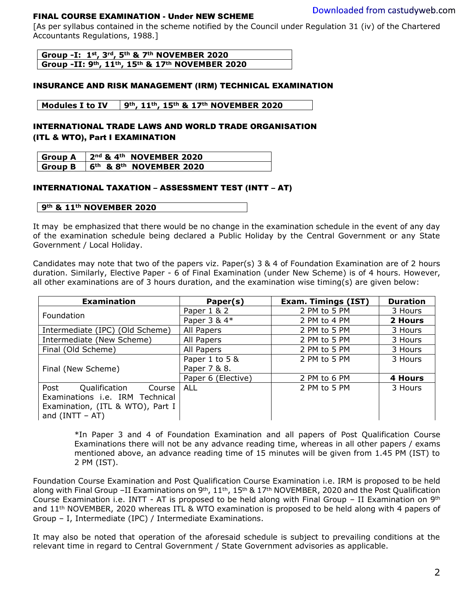#### FINAL COURSE EXAMINATION - Under NEW SCHEME

[As per svllabus contained in the scheme notified by the Council under Regulation 31 (iv) of the Chartered Accountants Regulations, 1988.]

**Group -I: 1st, 3rd, 5th & 7th NOVEMBER 2020 Group -II: 9th, 11th, 15th & 17th NOVEMBER 2020**

#### INSURANCE AND RISK MANAGEMENT (IRM) TECHNICAL EXAMINATION

#### **Modules I to IV 9th, 11th, 15th & 17th NOVEMBER 2020**

### INTERNATIONAL TRADE LAWS AND WORLD TRADE ORGANISATION (ITL & WTO), Part I EXAMINATION

| <b>Group A</b> | $2nd$ & 4 <sup>th</sup> NOVEMBER 2020  |
|----------------|----------------------------------------|
| <b>Group B</b> | $16th$ & 8 <sup>th</sup> NOVEMBER 2020 |

#### INTERNATIONAL TAXATION – ASSESSMENT TEST (INTT – AT)

#### **9th & 11th NOVEMBER 2020**

It may be emphasized that there would be no change in the examination schedule in the event of any day of the examination schedule being declared a Public Holiday by the Central Government or any State Government / Local Holiday.

Candidates may note that two of the papers viz. Paper(s) 3 & 4 of Foundation Examination are of 2 hours duration. Similarly, Elective Paper - 6 of Final Examination (under New Scheme) is of 4 hours. However, all other examinations are of 3 hours duration, and the examination wise timing(s) are given below:

| <b>Examination</b>               | Paper(s)           | <b>Exam. Timings (IST)</b> | <b>Duration</b> |
|----------------------------------|--------------------|----------------------------|-----------------|
|                                  | Paper 1 & 2        | 2 PM to 5 PM               | 3 Hours         |
| Foundation                       | Paper 3 & 4*       | 2 PM to 4 PM               | 2 Hours         |
| Intermediate (IPC) (Old Scheme)  | All Papers         | 2 PM to 5 PM               | 3 Hours         |
| Intermediate (New Scheme)        | All Papers         | 2 PM to 5 PM               | 3 Hours         |
| Final (Old Scheme)               | All Papers         | 2 PM to 5 PM               | 3 Hours         |
|                                  | Paper 1 to 5 &     | 2 PM to 5 PM               | 3 Hours         |
| Final (New Scheme)               | Paper 7 & 8.       |                            |                 |
|                                  | Paper 6 (Elective) | 2 PM to 6 PM               | 4 Hours         |
| Post<br>Qualification<br>Course  | <b>ALL</b>         | 2 PM to 5 PM               | 3 Hours         |
| Examinations i.e. IRM Technical  |                    |                            |                 |
| Examination, (ITL & WTO), Part I |                    |                            |                 |
| and $(INTT - AT)$                |                    |                            |                 |

\*In Paper 3 and 4 of Foundation Examination and all papers of Post Qualification Course Examinations there will not be any advance reading time, whereas in all other papers / exams mentioned above, an advance reading time of 15 minutes will be given from 1.45 PM (IST) to 2 PM (IST).

Foundation Course Examination and Post Qualification Course Examination i.e. IRM is proposed to be held along with Final Group –II Examinations on 9<sup>th</sup>, 11<sup>th</sup>, 15<sup>th</sup> & 17<sup>th</sup> NOVEMBER, 2020 and the Post Qualification Course Examination i.e. INTT - AT is proposed to be held along with Final Group - II Examination on 9<sup>th</sup> and 11th NOVEMBER, 2020 whereas ITL & WTO examination is proposed to be held along with 4 papers of Group – I, Intermediate (IPC) / Intermediate Examinations.

It may also be noted that operation of the aforesaid schedule is subject to prevailing conditions at the relevant time in regard to Central Government / State Government advisories as applicable.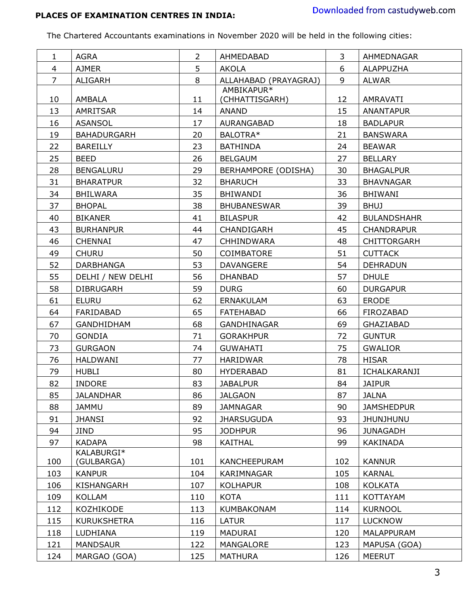# **PLACES OF EXAMINATION CENTRES IN INDIA:**

The Chartered Accountants examinations in November 2020 will be held in the following cities:

| $\mathbf{1}$   | AGRA               | $\overline{2}$ | AHMEDABAD             | $\overline{3}$        | AHMEDNAGAR         |
|----------------|--------------------|----------------|-----------------------|-----------------------|--------------------|
| 4              | <b>AJMER</b>       | 5              | AKOLA                 | 6<br><b>ALAPPUZHA</b> |                    |
| $\overline{7}$ | ALIGARH            | 8              | ALLAHABAD (PRAYAGRAJ) | 9                     | <b>ALWAR</b>       |
|                |                    |                | AMBIKAPUR*            |                       |                    |
| 10             | AMBALA             | 11             | (CHHATTISGARH)        | 12                    | AMRAVATI           |
| 13             | AMRITSAR           | 14             | <b>ANAND</b>          | 15                    | <b>ANANTAPUR</b>   |
| 16             | <b>ASANSOL</b>     | 17             | AURANGABAD            | 18                    | <b>BADLAPUR</b>    |
| 19             | <b>BAHADURGARH</b> | 20             | BALOTRA*              | 21                    | <b>BANSWARA</b>    |
| 22             | BAREILLY           | 23             | <b>BATHINDA</b>       | 24                    | <b>BEAWAR</b>      |
| 25             | <b>BEED</b>        | 26             | <b>BELGAUM</b>        | 27                    | <b>BELLARY</b>     |
| 28             | <b>BENGALURU</b>   | 29             | BERHAMPORE (ODISHA)   | 30                    | <b>BHAGALPUR</b>   |
| 31             | <b>BHARATPUR</b>   | 32             | <b>BHARUCH</b>        | 33                    | <b>BHAVNAGAR</b>   |
| 34             | <b>BHILWARA</b>    | 35             | BHIWANDI              | 36                    | <b>BHIWANI</b>     |
| 37             | <b>BHOPAL</b>      | 38             | <b>BHUBANESWAR</b>    | 39                    | <b>BHUJ</b>        |
| 40             | <b>BIKANER</b>     | 41             | <b>BILASPUR</b>       | 42                    | <b>BULANDSHAHR</b> |
| 43             | <b>BURHANPUR</b>   | 44             | CHANDIGARH            | 45                    | <b>CHANDRAPUR</b>  |
| 46             | <b>CHENNAI</b>     | 47             | <b>CHHINDWARA</b>     | 48                    | <b>CHITTORGARH</b> |
| 49             | <b>CHURU</b>       | 50             | <b>COIMBATORE</b>     | 51                    | <b>CUTTACK</b>     |
| 52             | DARBHANGA          | 53             | <b>DAVANGERE</b>      | 54                    | <b>DEHRADUN</b>    |
| 55             | DELHI / NEW DELHI  | 56             | <b>DHANBAD</b>        | 57                    | <b>DHULE</b>       |
| 58             | <b>DIBRUGARH</b>   | 59             | <b>DURG</b>           | 60                    | <b>DURGAPUR</b>    |
| 61             | <b>ELURU</b>       | 62             | ERNAKULAM             | 63                    | ERODE              |
| 64             | FARIDABAD          | 65             | <b>FATEHABAD</b>      | 66                    | FIROZABAD          |
| 67             | GANDHIDHAM         | 68             | GANDHINAGAR           | 69                    | GHAZIABAD          |
| 70             | <b>GONDIA</b>      | 71             | <b>GORAKHPUR</b>      | 72                    | <b>GUNTUR</b>      |
| 73             | <b>GURGAON</b>     | 74             | <b>GUWAHATI</b>       | 75                    | <b>GWALIOR</b>     |
| 76             | <b>HALDWANI</b>    | 77             | <b>HARIDWAR</b>       | 78                    | <b>HISAR</b>       |
| 79             | <b>HUBLI</b>       | 80             | <b>HYDERABAD</b>      | 81                    | ICHALKARANJI       |
| 82             | <b>INDORE</b>      | 83             | <b>JABALPUR</b>       | 84                    | <b>JAIPUR</b>      |
| 85             | <b>JALANDHAR</b>   | 86             | <b>JALGAON</b>        | 87                    | <b>JALNA</b>       |
| 88             | <b>JAMMU</b>       | 89             | <b>JAMNAGAR</b>       | 90                    | <b>JAMSHEDPUR</b>  |
| 91             | <b>JHANSI</b>      | 92             | <b>JHARSUGUDA</b>     | 93                    | <b>JHUNJHUNU</b>   |
| 94             | <b>JIND</b>        | 95             | <b>JODHPUR</b>        | 96                    | <b>JUNAGADH</b>    |
| 97             | <b>KADAPA</b>      | 98             | <b>KAITHAL</b>        | 99                    | KAKINADA           |
|                | KALABURGI*         |                |                       |                       |                    |
| 100            | (GULBARGA)         | 101            | KANCHEEPURAM          | 102                   | <b>KANNUR</b>      |
| 103            | <b>KANPUR</b>      | 104            | KARIMNAGAR            | 105                   | <b>KARNAL</b>      |
| 106            | KISHANGARH         | 107            | <b>KOLHAPUR</b>       | 108                   | <b>KOLKATA</b>     |
| 109            | <b>KOLLAM</b>      | 110            | <b>KOTA</b>           | 111                   | KOTTAYAM           |
| 112            | KOZHIKODE          | 113            | <b>KUMBAKONAM</b>     | 114                   | <b>KURNOOL</b>     |
| 115            | <b>KURUKSHETRA</b> | 116            | <b>LATUR</b>          | 117                   | LUCKNOW            |
| 118            | LUDHIANA           | 119            | <b>MADURAI</b>        | 120                   | MALAPPURAM         |
| 121            | <b>MANDSAUR</b>    | 122            | MANGALORE             | 123                   | MAPUSA (GOA)       |
| 124            | MARGAO (GOA)       | 125            | <b>MATHURA</b>        | 126                   | MEERUT             |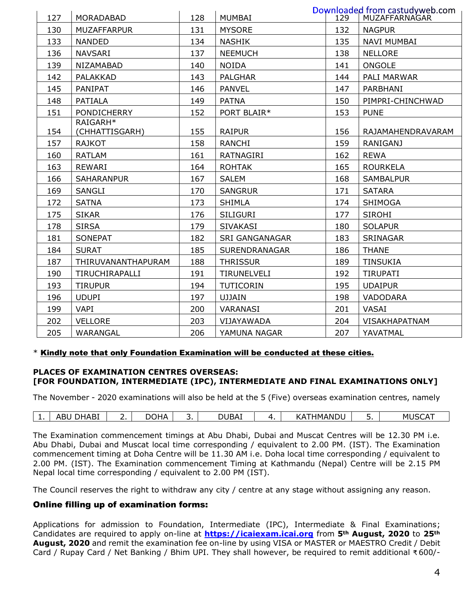| 127 | MORADABAD                  | 128 | <b>MUMBAI</b>         | 129 | Downloaded from castudyweb.com<br>MUZAFFARNAGAR |
|-----|----------------------------|-----|-----------------------|-----|-------------------------------------------------|
| 130 | <b>MUZAFFARPUR</b>         | 131 | <b>MYSORE</b>         | 132 | <b>NAGPUR</b>                                   |
| 133 | <b>NANDED</b>              | 134 | <b>NASHIK</b>         | 135 | <b>NAVI MUMBAI</b>                              |
| 136 | <b>NAVSARI</b>             | 137 | <b>NEEMUCH</b>        | 138 | <b>NELLORE</b>                                  |
| 139 | NIZAMABAD                  | 140 | <b>NOIDA</b>          | 141 | <b>ONGOLE</b>                                   |
| 142 | PALAKKAD                   | 143 | <b>PALGHAR</b>        | 144 | PALI MARWAR                                     |
| 145 | PANIPAT                    | 146 | <b>PANVEL</b>         | 147 | PARBHANI                                        |
| 148 | PATIALA                    | 149 | <b>PATNA</b>          | 150 | PIMPRI-CHINCHWAD                                |
| 151 | <b>PONDICHERRY</b>         | 152 | PORT BLAIR*           | 153 | <b>PUNE</b>                                     |
| 154 | RAIGARH*<br>(CHHATTISGARH) | 155 | <b>RAIPUR</b>         | 156 | RAJAMAHENDRAVARAM                               |
| 157 | <b>RAJKOT</b>              | 158 | <b>RANCHI</b>         | 159 | <b>RANIGANJ</b>                                 |
| 160 | RATLAM                     | 161 | <b>RATNAGIRI</b>      | 162 | <b>REWA</b>                                     |
| 163 | <b>REWARI</b>              | 164 | <b>ROHTAK</b>         | 165 | <b>ROURKELA</b>                                 |
| 166 | <b>SAHARANPUR</b>          | 167 | <b>SALEM</b>          | 168 | <b>SAMBALPUR</b>                                |
| 169 | SANGLI                     | 170 | <b>SANGRUR</b>        | 171 | <b>SATARA</b>                                   |
| 172 | <b>SATNA</b>               | 173 | <b>SHIMLA</b>         | 174 | <b>SHIMOGA</b>                                  |
| 175 | <b>SIKAR</b>               | 176 | <b>SILIGURI</b>       | 177 | <b>SIROHI</b>                                   |
| 178 | <b>SIRSA</b>               | 179 | <b>SIVAKASI</b>       | 180 | <b>SOLAPUR</b>                                  |
| 181 | <b>SONEPAT</b>             | 182 | <b>SRI GANGANAGAR</b> | 183 | SRINAGAR                                        |
| 184 | <b>SURAT</b>               | 185 | SURENDRANAGAR         | 186 | <b>THANE</b>                                    |
| 187 | THIRUVANANTHAPURAM         | 188 | <b>THRISSUR</b>       | 189 | <b>TINSUKIA</b>                                 |
| 190 | TIRUCHIRAPALLI             | 191 | <b>TIRUNELVELI</b>    | 192 | <b>TIRUPATI</b>                                 |
| 193 | <b>TIRUPUR</b>             | 194 | TUTICORIN             | 195 | <b>UDAIPUR</b>                                  |
| 196 | <b>UDUPI</b>               | 197 | <b>UJJAIN</b>         | 198 | VADODARA                                        |
| 199 | <b>VAPI</b>                | 200 | VARANASI              | 201 | VASAI                                           |
| 202 | <b>VELLORE</b>             | 203 | VIJAYAWADA            | 204 | VISAKHAPATNAM                                   |
| 205 | WARANGAL                   | 206 | YAMUNA NAGAR          | 207 | YAVATMAL                                        |

#### \* Kindly note that only Foundation Examination will be conducted at these cities.

# **PLACES OF EXAMINATION CENTRES OVERSEAS: [FOR FOUNDATION, INTERMEDIATE (IPC), INTERMEDIATE AND FINAL EXAMINATIONS ONLY]**

The November - 2020 examinations will also be held at the 5 (Five) overseas examination centres, namely

| . . | $\blacksquare$<br>70. D<br>נטר | )HA<br>. . | <u>.</u> | - - -<br>JDA1 | . . | IMAN<br>ᄼ<br>↘ | . .<br>- - | $\sim$ $\sim$ $\sim$<br>м |
|-----|--------------------------------|------------|----------|---------------|-----|----------------|------------|---------------------------|
|     |                                |            |          |               |     |                |            |                           |

The Examination commencement timings at Abu Dhabi, Dubai and Muscat Centres will be 12.30 PM i.e. Abu Dhabi, Dubai and Muscat local time corresponding / equivalent to 2.00 PM. (IST). The Examination commencement timing at Doha Centre will be 11.30 AM i.e. Doha local time corresponding / equivalent to 2.00 PM. (IST). The Examination commencement Timing at Kathmandu (Nepal) Centre will be 2.15 PM Nepal local time corresponding / equivalent to 2.00 PM (IST).

The Council reserves the right to withdraw any city / centre at any stage without assigning any reason.

# Online filling up of examination forms:

Applications for admission to Foundation, Intermediate (IPC), Intermediate & Final Examinations; Candidates are required to apply on-line at **[https://icaiexam.icai.org](https://icaiexam.icai.org/)** from **5th August, 2020** to **25th August, 2020** and remit the examination fee on-line by using VISA or MASTER or MAESTRO Credit / Debit Card / Rupay Card / Net Banking / Bhim UPI. They shall however, be required to remit additional ₹ 600/-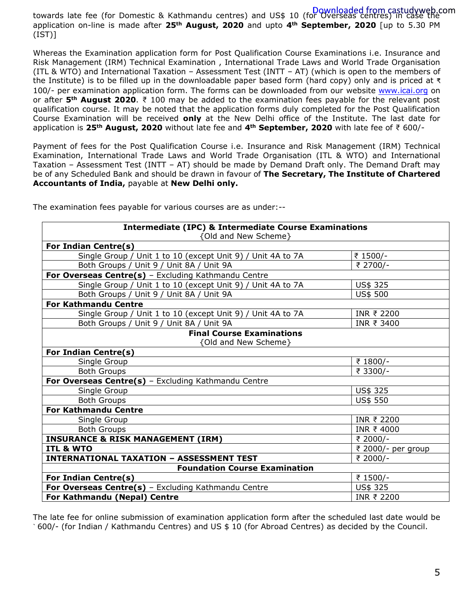towards late fee (for Domestic & Kathmandu centres) and US\$ 10 (for Overseas centres) in case the application on-line is made after **25th August, 2020** and upto **4th September, 2020** [up to 5.30 PM  $(IST)$ ]

Whereas the Examination application form for Post Qualification Course Examinations i.e. Insurance and Risk Management (IRM) Technical Examination , International Trade Laws and World Trade Organisation (ITL & WTO) and International Taxation – Assessment Test (INTT – AT) (which is open to the members of the Institute) is to be filled up in the downloadable paper based form (hard copy) only and is priced at ₹ 100/- per examination application form. The forms can be downloaded from our website [www.icai.org](http://www.icai.org/) on or after **5th August 2020**. ₹ 100 may be added to the examination fees payable for the relevant post qualification course. It may be noted that the application forms duly completed for the Post Qualification Course Examination will be received **only** at the New Delhi office of the Institute. The last date for application is **25th August, 2020** without late fee and **4th September, 2020** with late fee of ₹ 600/-

Payment of fees for the Post Qualification Course i.e. Insurance and Risk Management (IRM) Technical Examination, International Trade Laws and World Trade Organisation (ITL & WTO) and International Taxation – Assessment Test (INTT – AT) should be made by Demand Draft only. The Demand Draft may be of any Scheduled Bank and should be drawn in favour of **The Secretary, The Institute of Chartered Accountants of India,** payable at **New Delhi only.** 

| <b>Intermediate (IPC) &amp; Intermediate Course Examinations</b> |                    |  |  |  |  |
|------------------------------------------------------------------|--------------------|--|--|--|--|
| {Old and New Scheme}                                             |                    |  |  |  |  |
| For Indian Centre(s)                                             |                    |  |  |  |  |
| Single Group / Unit 1 to 10 (except Unit 9) / Unit 4A to 7A      | ₹ 1500/-           |  |  |  |  |
| Both Groups / Unit 9 / Unit 8A / Unit 9A                         | ₹ 2700/-           |  |  |  |  |
| For Overseas Centre(s) - Excluding Kathmandu Centre              |                    |  |  |  |  |
| Single Group / Unit 1 to 10 (except Unit 9) / Unit 4A to 7A      | US\$ 325           |  |  |  |  |
| Both Groups / Unit 9 / Unit 8A / Unit 9A                         | US\$ 500           |  |  |  |  |
| <b>For Kathmandu Centre</b>                                      |                    |  |  |  |  |
| Single Group / Unit 1 to 10 (except Unit 9) / Unit 4A to 7A      | INR ₹ 2200         |  |  |  |  |
| Both Groups / Unit 9 / Unit 8A / Unit 9A                         | INR ₹ 3400         |  |  |  |  |
| <b>Final Course Examinations</b>                                 |                    |  |  |  |  |
| {Old and New Scheme}                                             |                    |  |  |  |  |
| For Indian Centre(s)                                             |                    |  |  |  |  |
| Single Group                                                     | ₹ 1800/-           |  |  |  |  |
| <b>Both Groups</b>                                               | ₹ 3300/-           |  |  |  |  |
| For Overseas Centre(s) - Excluding Kathmandu Centre              |                    |  |  |  |  |
| Single Group                                                     | US\$ 325           |  |  |  |  |
| <b>Both Groups</b>                                               | US\$ 550           |  |  |  |  |
| <b>For Kathmandu Centre</b>                                      |                    |  |  |  |  |
| Single Group                                                     | INR ₹ 2200         |  |  |  |  |
| <b>Both Groups</b>                                               | INR ₹4000          |  |  |  |  |
| <b>INSURANCE &amp; RISK MANAGEMENT (IRM)</b>                     | ₹ 2000/-           |  |  |  |  |
| <b>ITL &amp; WTO</b>                                             | ₹ 2000/- per group |  |  |  |  |
| <b>INTERNATIONAL TAXATION - ASSESSMENT TEST</b>                  | ₹ 2000/-           |  |  |  |  |
| <b>Foundation Course Examination</b>                             |                    |  |  |  |  |
| For Indian Centre(s)                                             | ₹ 1500/-           |  |  |  |  |
| For Overseas Centre(s) - Excluding Kathmandu Centre<br>US\$ 325  |                    |  |  |  |  |
| For Kathmandu (Nepal) Centre                                     | INR ₹ 2200         |  |  |  |  |

The examination fees payable for various courses are as under:--

The late fee for online submission of examination application form after the scheduled last date would be ` 600/- (for Indian / Kathmandu Centres) and US \$ 10 (for Abroad Centres) as decided by the Council.